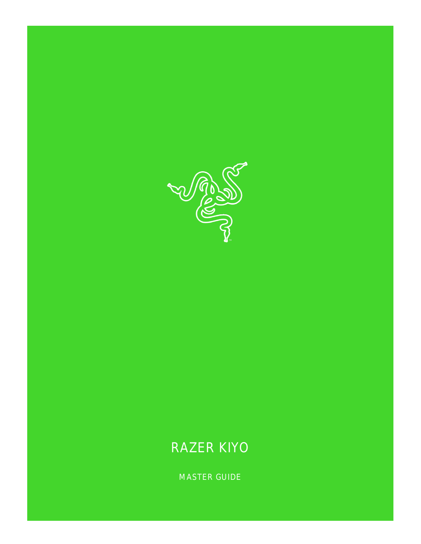

# RAZER KIYO

MASTER GUIDE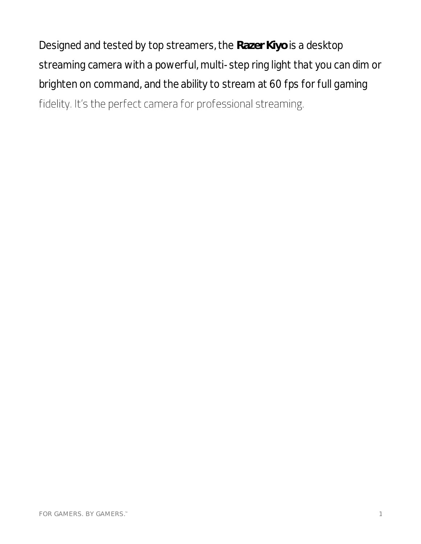Designed and tested by top streamers, the **Razer Kiyo** is a desktop streaming camera with a powerful, multi-step ring light that you can dim or brighten on command, and the ability to stream at 60 fps for full gaming fidelity. It's the perfect camera for professional streaming.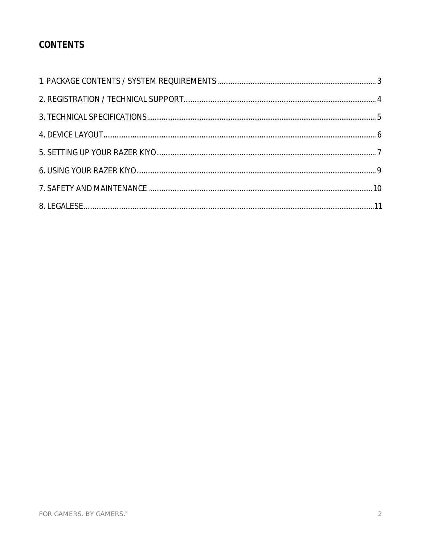### CONTENTS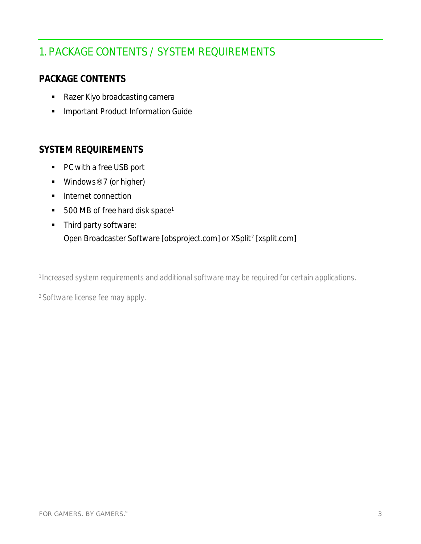# <span id="page-3-0"></span>1. PACKAGE CONTENTS / SYSTEM REQUIREMENTS

### **PACKAGE CONTENTS**

- Razer Kiyo broadcasting camera
- **·** Important Product Information Guide

#### **SYSTEM REQUIREMENTS**

- PC with a free USB port
- $\blacksquare$  Windows<sup>®</sup> 7 (or higher)
- Internet connection
- 500 MB of free hard disk space<sup>1</sup>
- Third party software: Open Broadcaster Software [obsproject.com] or XSplit<sup>2</sup> [xsplit.com]

*<sup>1</sup>Increased system requirements and additional software may be required for certain applications.*

*2 Software license fee may apply.*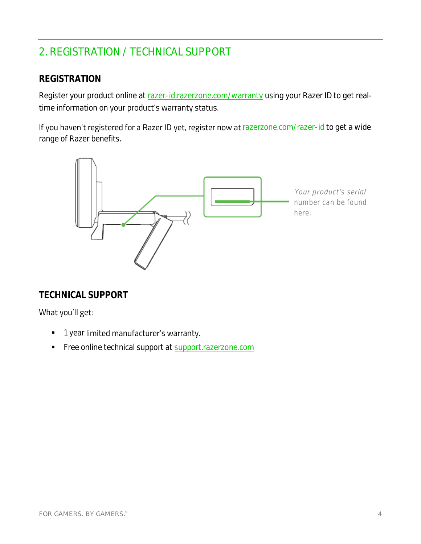# <span id="page-4-0"></span>2. REGISTRATION / TECHNICAL SUPPORT

#### **REGISTRATION**

Register your product online at razer-id.razerzone.com/warranty using your Razer ID to get realtime information on your product's warranty status.

If you haven't registered for a Razer ID yet, register now at razerzone.com/razer-id to get a wide range of Razer benefits.



#### **TECHNICAL SUPPORT**

#### What you'll get:

- **•** 1 year limited manufacturer's warranty.
- Free online technical support at support.razerzone.com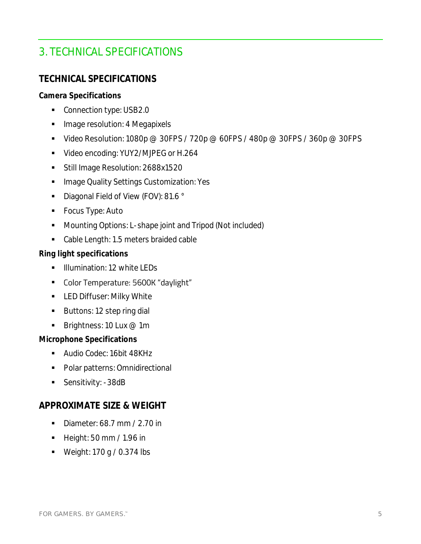## <span id="page-5-0"></span>3. TECHNICAL SPECIFICATIONS

### **TECHNICAL SPECIFICATIONS**

**Camera Specifications**

- Connection type: USB2.0
- **Image resolution: 4 Megapixels**
- Video Resolution: 1080p @ 30FPS / 720p @ 60FPS / 480p @ 30FPS / 360p @ 30FPS
- Video encoding: YUY2/MJPEG or H.264
- Still Image Resolution: 2688x1520
- **Image Quality Settings Customization: Yes**
- Diagonal Field of View (FOV): 81.6 °
- Focus Type: Auto
- Mounting Options: L-shape joint and Tripod (Not included)
- Cable Length: 1.5 meters braided cable

**Ring light specifications**

- **■** Illumination: 12 white LEDs
- Color Temperature: 5600K "daylight"
- **■** LED Diffuser: Milky White
- Buttons: 12 step ring dial
- **•** Brightness: 10 Lux  $@$  1m

**Microphone Specifications**

- Audio Codec: 16bit 48KHz
- Polar patterns: Omnidirectional
- Sensitivity: -38dB

#### **APPROXIMATE SIZE & WEIGHT**

- Diameter: 68.7 mm / 2.70 in
- Height: 50 mm / 1.96 in
- $\blacksquare$  Weight: 170 g / 0.374 lbs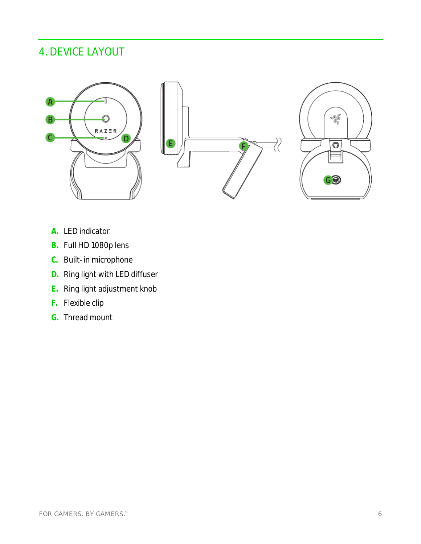# <span id="page-6-0"></span>4. DEVICE LAYOUT







- **A.** LED indicator
- **B.** Full HD 1080p lens
- **C.** Built-in microphone
- **D.** Ring light with LED diffuser
- **E.** Ring light adjustment knob
- **F.** Flexible clip
- **G.** Thread mount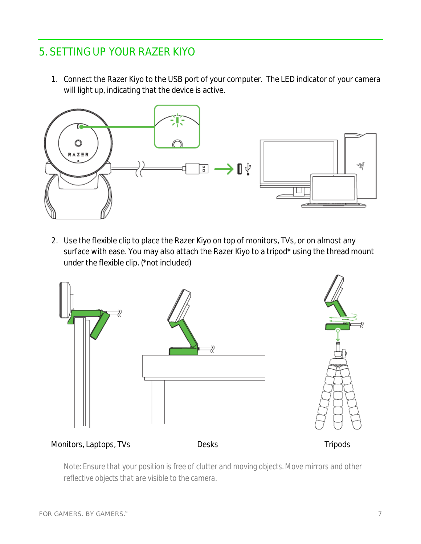### <span id="page-7-0"></span>5. SETTING UP YOUR RAZER KIYO

1. Connect the Razer Kiyo to the USB port of your computer. The LED indicator of your camera will light up, indicating that the device is active.



2. Use the flexible clip to place the Razer Kiyo on top of monitors, TVs, or on almost any surface with ease. You may also attach the Razer Kiyo to a tripod\* using the thread mount under the flexible clip. (\*not included)



Monitors, Laptops, TVs Desks Desks Tripods

*Note: Ensure that your position is free of clutter and moving objects. Move mirrors and other reflective objects that are visible to the camera.*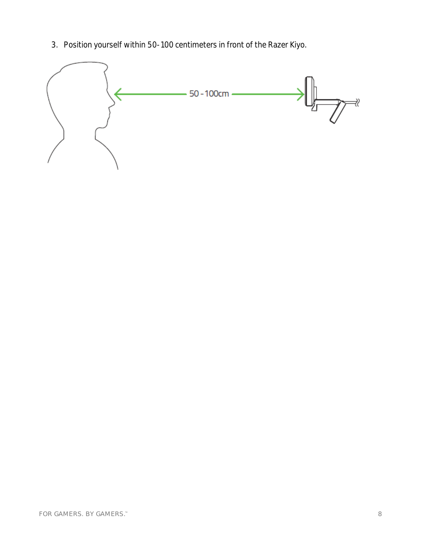3. Position yourself within 50-100 centimeters in front of the Razer Kiyo.

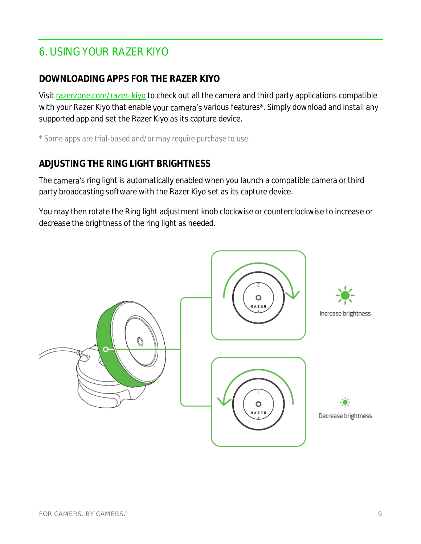## <span id="page-9-0"></span>6. USING YOUR RAZER KIYO

### **DOWNLOADING APPS FOR THE RAZER KIYO**

Visit razerzone.com/razer-kiyo to check out all the camera and third party applications compatible with your Razer Kiyo that enable your camera's various features\*. Simply download and install any supported app and set the Razer Kiyo as its capture device.

*\* Some apps are trial-based and/or may require purchase to use.*

### **ADJUSTING THE RING LIGHT BRIGHTNESS**

The camera's ring light is automatically enabled when you launch a compatible camera or third party broadcasting software with the Razer Kiyo set as its capture device.

You may then rotate the Ring light adjustment knob clockwise or counterclockwise to increase or decrease the brightness of the ring light as needed.

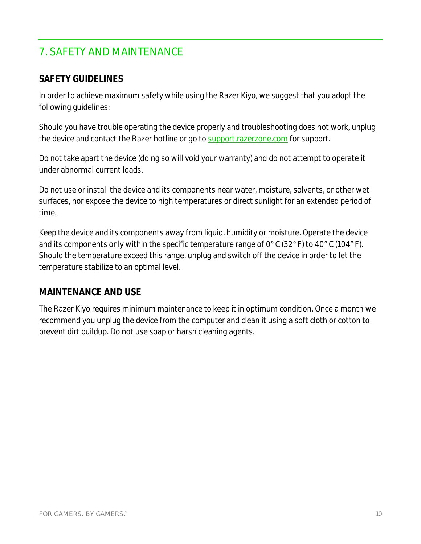# <span id="page-10-0"></span>7. SAFETY AND MAINTENANCE

### **SAFETY GUIDELINES**

In order to achieve maximum safety while using the Razer Kiyo, we suggest that you adopt the following guidelines:

Should you have trouble operating the device properly and troubleshooting does not work, unplug the device and contact the Razer hotline or go to [support.razerzone.com](http://www.razersupport.com/) for support.

Do not take apart the device (doing so will void your warranty) and do not attempt to operate it under abnormal current loads.

Do not use or install the device and its components near water, moisture, solvents, or other wet surfaces, nor expose the device to high temperatures or direct sunlight for an extended period of time.

Keep the device and its components away from liquid, humidity or moisture. Operate the device and its components only within the specific temperature range of 0°C (32°F) to 40°C (104°F). Should the temperature exceed this range, unplug and switch off the device in order to let the temperature stabilize to an optimal level.

#### **MAINTENANCE AND USE**

The Razer Kiyo requires minimum maintenance to keep it in optimum condition. Once a month we recommend you unplug the device from the computer and clean it using a soft cloth or cotton to prevent dirt buildup. Do not use soap or harsh cleaning agents.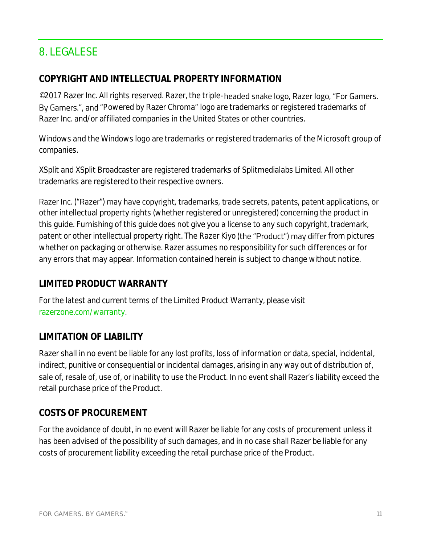## <span id="page-11-0"></span>8. LEGALESE

### **COPYRIGHT AND INTELLECTUAL PROPERTY INFORMATION**

©2017 Razer Inc. All rights reserved. Razer, the triple-headed snake logo, Razer logo, "For Gamers. By Gamers.", and "Powered by Razer Chroma" logo are trademarks or registered trademarks of Razer Inc. and/or affiliated companies in the United States or other countries.

Windows and the Windows logo are trademarks or registered trademarks of the Microsoft group of companies.

XSplit and XSplit Broadcaster are registered trademarks of Splitmedialabs Limited. All other trademarks are registered to their respective owners.

Razer Inc. ("Razer") may have copyright, trademarks, trade secrets, patents, patent applications, or other intellectual property rights (whether registered or unregistered) concerning the product in this guide. Furnishing of this guide does not give you a license to any such copyright, trademark, patent or other intellectual property right. The Razer Kiyo (the "Product") may differ from pictures whether on packaging or otherwise. Razer assumes no responsibility for such differences or for any errors that may appear. Information contained herein is subject to change without notice.

### **LIMITED PRODUCT WARRANTY**

For the latest and current terms of the Limited Product Warranty, please visit [razerzone.com/warranty.](http://www.razerzone.com/warranty)

### **LIMITATION OF LIABILITY**

Razer shall in no event be liable for any lost profits, loss of information or data, special, incidental, indirect, punitive or consequential or incidental damages, arising in any way out of distribution of, sale of, resale of, use of, or inability to use the Product. In no event shall Razer's liability exceed the retail purchase price of the Product.

### **COSTS OF PROCUREMENT**

For the avoidance of doubt, in no event will Razer be liable for any costs of procurement unless it has been advised of the possibility of such damages, and in no case shall Razer be liable for any costs of procurement liability exceeding the retail purchase price of the Product.